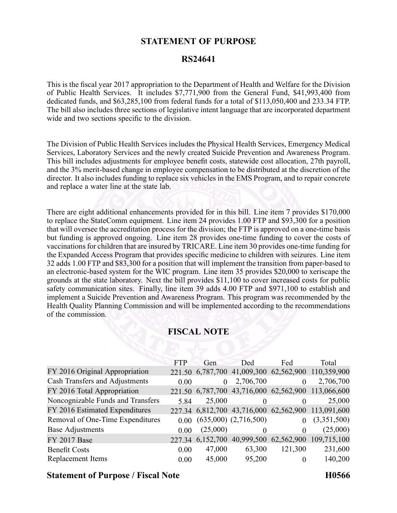## **STATEMENT OF PURPOSE**

#### **RS24641**

This is the fiscal year 2017 appropriation to the Department of Health and Welfare for the Division of Public Health Services. It includes \$7,771,900 from the General Fund, \$41,993,400 from dedicated funds, and \$63,285,100 from federal funds for <sup>a</sup> total of \$113,050,400 and 233.34 FTP. The bill also includes three sections of legislative intent language that are incorporated department wide and two sections specific to the division.

The Division of Public Health Services includes the Physical Health Services, Emergency Medical Services, Laboratory Services and the newly created Suicide Prevention and Awareness Program. This bill includes adjustments for employee benefit costs, statewide cost allocation, 27th payroll, and the 3% merit-based change in employee compensation to be distributed at the discretion of the director. It also includes funding to replace six vehicles in the EMS Program, and to repair concrete and replace <sup>a</sup> water line at the state lab.

There are eight additional enhancements provided for in this bill. Line item 7 provides \$170,000 to replace the StateComm equipment. Line item 24 provides 1.00 FTP and \$93,300 for <sup>a</sup> position that will oversee the accreditation process for the division; the FTP is approved on <sup>a</sup> one-time basis but funding is approved ongoing. Line item 28 provides one-time funding to cover the costs of vaccinations for children that are insured by TRICARE. Line item 30 provides one-time funding for the Expanded Access Program that provides specific medicine to children with seizures. Line item 32 adds 1.00 FTP and \$83,300 for <sup>a</sup> position that will implement the transition from paper-based to an electronic-based system for the WIC program. Line item 35 provides \$20,000 to xeriscape the grounds at the state laboratory. Next the bill provides \$11,100 to cover increased costs for public safety communication sites. Finally, line item 39 adds 4.00 FTP and \$971,100 to establish and implement <sup>a</sup> Suicide Prevention and Awareness Program. This program was recommended by the Health Quality Planning Commission and will be implemented according to the recommendations of the commission.

# **FISCAL NOTE**

|                                   | <b>FTP</b> | Gen      | Ded                                    | Fed      | Total                                              |
|-----------------------------------|------------|----------|----------------------------------------|----------|----------------------------------------------------|
| FY 2016 Original Appropriation    |            |          |                                        |          | 221.50 6,787,700 41,009,300 62,562,900 110,359,900 |
| Cash Transfers and Adjustments    | 0.00       | $\theta$ | 2,706,700                              |          | 2,706,700                                          |
| FY 2016 Total Appropriation       |            |          | 221.50 6,787,700 43,716,000 62,562,900 |          | 113,066,600                                        |
| Noncognizable Funds and Transfers | 5.84       | 25,000   | $\theta$                               |          | 25,000                                             |
| FY 2016 Estimated Expenditures    |            |          | 227.34 6,812,700 43,716,000 62,562,900 |          | 113,091,600                                        |
| Removal of One-Time Expenditures  | 0.00       |          | $(635,000)$ $(2,716,500)$              | $\theta$ | (3,351,500)                                        |
| <b>Base Adjustments</b>           | 0.00       | (25,000) | $\Omega$                               |          | (25,000)                                           |
| FY 2017 Base                      |            |          |                                        |          | 227.34 6,152,700 40,999,500 62,562,900 109,715,100 |
| <b>Benefit Costs</b>              | 0.00       | 47,000   | 63,300                                 | 121,300  | 231,600                                            |
| Replacement Items                 | 0.00       | 45,000   | 95,200                                 | $\theta$ | 140,200                                            |

#### **Statement of Purpose / Fiscal Note H0566**